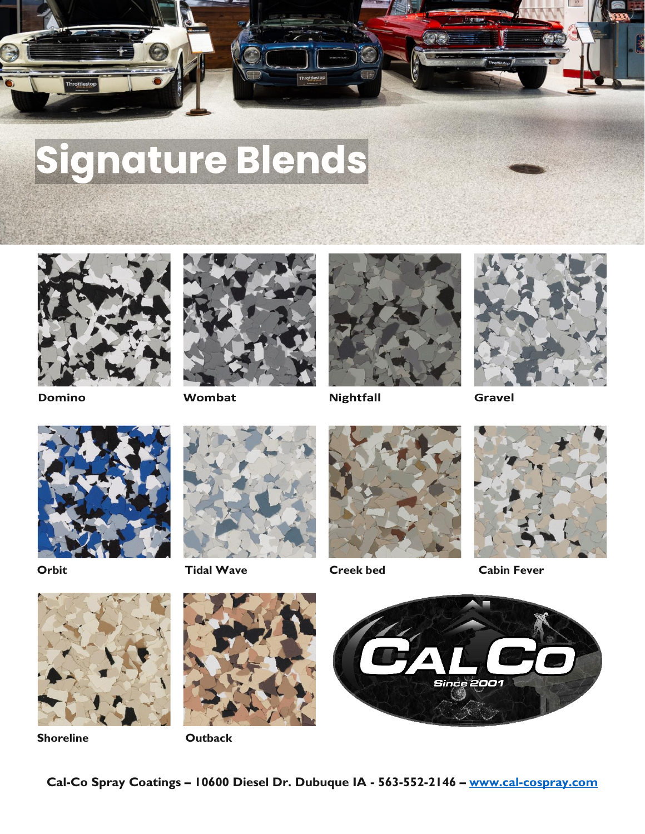

# Signature Blends



**Domino** 



Wombat



**Nightfall** 



**Gravel** 





**Orbit Tidal Wave Creek bed Cabin Fever**









**Shoreline Outback**